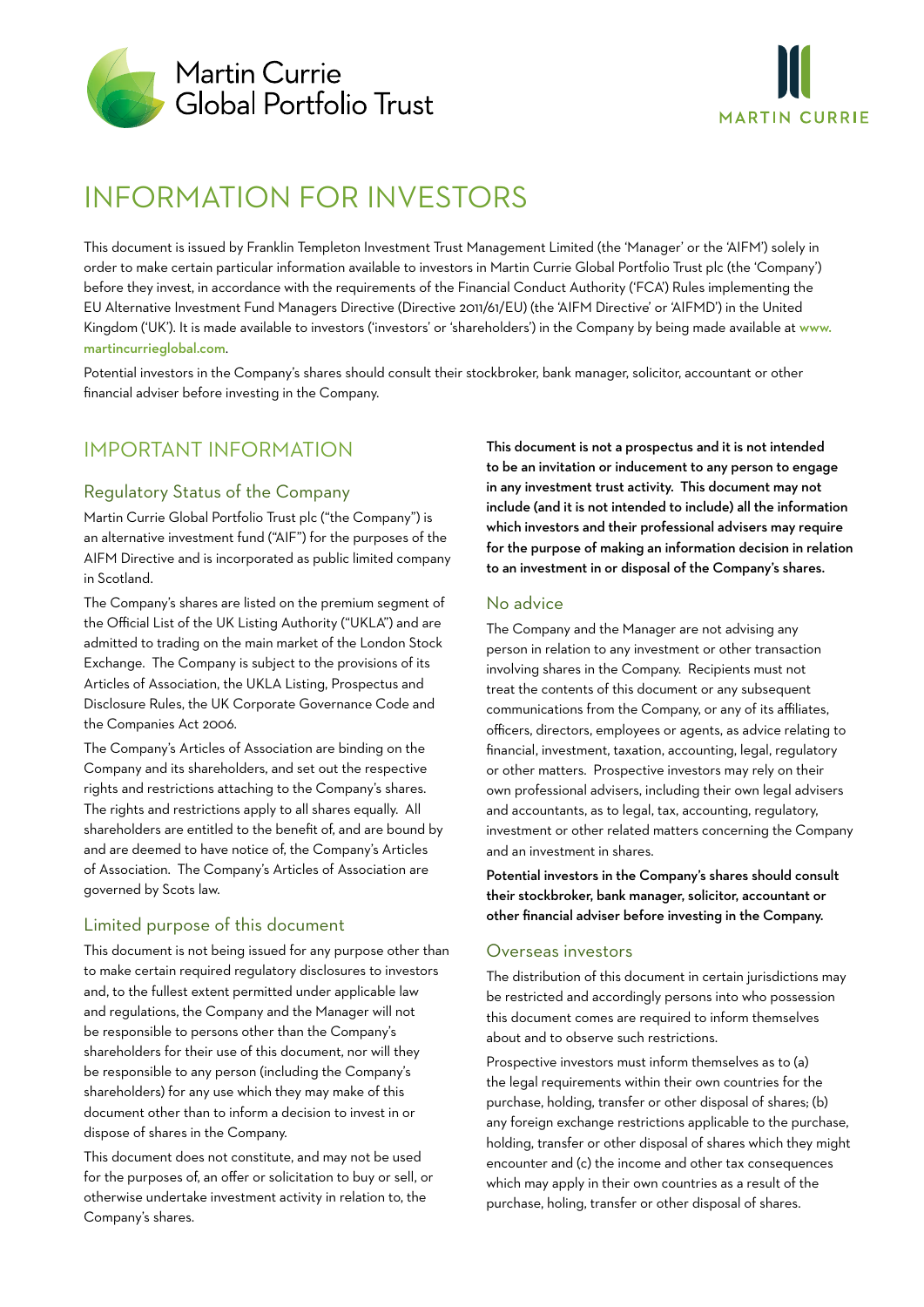



# INFORMATION FOR INVESTORS

This document is issued by Franklin Templeton Investment Trust Management Limited (the 'Manager' or the 'AIFM') solely in order to make certain particular information available to investors in Martin Currie Global Portfolio Trust plc (the 'Company') before they invest, in accordance with the requirements of the Financial Conduct Authority ('FCA') Rules implementing the EU Alternative Investment Fund Managers Directive (Directive 2011/61/EU) (the 'AIFM Directive' or 'AIFMD') in the United Kingdom ('UK'). It is made available to investors ('investors' or 'shareholders') in the Company by being made available at www. martincurrieglobal.com.

Potential investors in the Company's shares should consult their stockbroker, bank manager, solicitor, accountant or other financial adviser before investing in the Company.

# IMPORTANT INFORMATION

# Regulatory Status of the Company

Martin Currie Global Portfolio Trust plc ("the Company") is an alternative investment fund ("AIF") for the purposes of the AIFM Directive and is incorporated as public limited company in Scotland.

The Company's shares are listed on the premium segment of the Official List of the UK Listing Authority ("UKLA") and are admitted to trading on the main market of the London Stock Exchange. The Company is subject to the provisions of its Articles of Association, the UKLA Listing, Prospectus and Disclosure Rules, the UK Corporate Governance Code and the Companies Act 2006.

The Company's Articles of Association are binding on the Company and its shareholders, and set out the respective rights and restrictions attaching to the Company's shares. The rights and restrictions apply to all shares equally. All shareholders are entitled to the benefit of, and are bound by and are deemed to have notice of, the Company's Articles of Association. The Company's Articles of Association are governed by Scots law.

# Limited purpose of this document

This document is not being issued for any purpose other than to make certain required regulatory disclosures to investors and, to the fullest extent permitted under applicable law and regulations, the Company and the Manager will not be responsible to persons other than the Company's shareholders for their use of this document, nor will they be responsible to any person (including the Company's shareholders) for any use which they may make of this document other than to inform a decision to invest in or dispose of shares in the Company.

This document does not constitute, and may not be used for the purposes of, an offer or solicitation to buy or sell, or otherwise undertake investment activity in relation to, the Company's shares.

This document is not a prospectus and it is not intended to be an invitation or inducement to any person to engage in any investment trust activity. This document may not include (and it is not intended to include) all the information which investors and their professional advisers may require for the purpose of making an information decision in relation to an investment in or disposal of the Company's shares.

### No advice

The Company and the Manager are not advising any person in relation to any investment or other transaction involving shares in the Company. Recipients must not treat the contents of this document or any subsequent communications from the Company, or any of its affiliates, officers, directors, employees or agents, as advice relating to financial, investment, taxation, accounting, legal, regulatory or other matters. Prospective investors may rely on their own professional advisers, including their own legal advisers and accountants, as to legal, tax, accounting, regulatory, investment or other related matters concerning the Company and an investment in shares.

Potential investors in the Company's shares should consult their stockbroker, bank manager, solicitor, accountant or other financial adviser before investing in the Company.

### Overseas investors

The distribution of this document in certain jurisdictions may be restricted and accordingly persons into who possession this document comes are required to inform themselves about and to observe such restrictions.

Prospective investors must inform themselves as to (a) the legal requirements within their own countries for the purchase, holding, transfer or other disposal of shares; (b) any foreign exchange restrictions applicable to the purchase, holding, transfer or other disposal of shares which they might encounter and (c) the income and other tax consequences which may apply in their own countries as a result of the purchase, holing, transfer or other disposal of shares.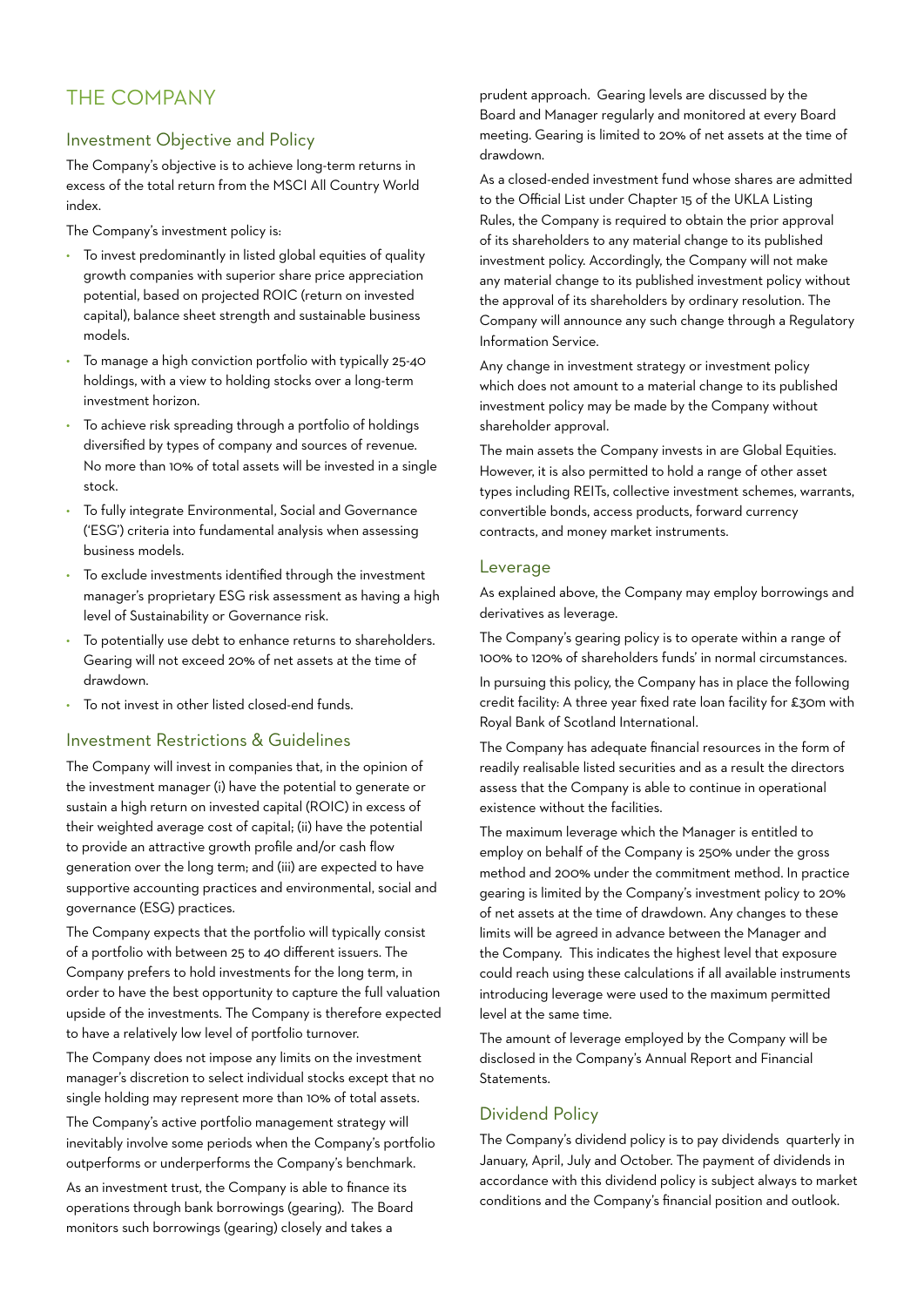# THE COMPANY

# Investment Objective and Policy

The Company's objective is to achieve long-term returns in excess of the total return from the MSCI All Country World index.

The Company's investment policy is:

- To invest predominantly in listed global equities of quality growth companies with superior share price appreciation potential, based on projected ROIC (return on invested capital), balance sheet strength and sustainable business models.
- To manage a high conviction portfolio with typically 25-40 holdings, with a view to holding stocks over a long-term investment horizon.
- To achieve risk spreading through a portfolio of holdings diversified by types of company and sources of revenue. No more than 10% of total assets will be invested in a single stock.
- To fully integrate Environmental, Social and Governance ('ESG') criteria into fundamental analysis when assessing business models.
- To exclude investments identified through the investment manager's proprietary ESG risk assessment as having a high level of Sustainability or Governance risk.
- To potentially use debt to enhance returns to shareholders. Gearing will not exceed 20% of net assets at the time of drawdown.
- To not invest in other listed closed-end funds.

### Investment Restrictions & Guidelines

The Company will invest in companies that, in the opinion of the investment manager (i) have the potential to generate or sustain a high return on invested capital (ROIC) in excess of their weighted average cost of capital; (ii) have the potential to provide an attractive growth profile and/or cash flow generation over the long term; and (iii) are expected to have supportive accounting practices and environmental, social and governance (ESG) practices.

The Company expects that the portfolio will typically consist of a portfolio with between 25 to 40 different issuers. The Company prefers to hold investments for the long term, in order to have the best opportunity to capture the full valuation upside of the investments. The Company is therefore expected to have a relatively low level of portfolio turnover.

The Company does not impose any limits on the investment manager's discretion to select individual stocks except that no single holding may represent more than 10% of total assets.

The Company's active portfolio management strategy will inevitably involve some periods when the Company's portfolio outperforms or underperforms the Company's benchmark.

As an investment trust, the Company is able to finance its operations through bank borrowings (gearing). The Board monitors such borrowings (gearing) closely and takes a

prudent approach. Gearing levels are discussed by the Board and Manager regularly and monitored at every Board meeting. Gearing is limited to 20% of net assets at the time of drawdown.

As a closed-ended investment fund whose shares are admitted to the Official List under Chapter 15 of the UKLA Listing Rules, the Company is required to obtain the prior approval of its shareholders to any material change to its published investment policy. Accordingly, the Company will not make any material change to its published investment policy without the approval of its shareholders by ordinary resolution. The Company will announce any such change through a Regulatory Information Service.

Any change in investment strategy or investment policy which does not amount to a material change to its published investment policy may be made by the Company without shareholder approval.

The main assets the Company invests in are Global Equities. However, it is also permitted to hold a range of other asset types including REITs, collective investment schemes, warrants, convertible bonds, access products, forward currency contracts, and money market instruments.

### Leverage

As explained above, the Company may employ borrowings and derivatives as leverage.

The Company's gearing policy is to operate within a range of 100% to 120% of shareholders funds' in normal circumstances.

In pursuing this policy, the Company has in place the following credit facility: A three year fixed rate loan facility for £30m with Royal Bank of Scotland International.

The Company has adequate financial resources in the form of readily realisable listed securities and as a result the directors assess that the Company is able to continue in operational existence without the facilities.

The maximum leverage which the Manager is entitled to employ on behalf of the Company is 250% under the gross method and 200% under the commitment method. In practice gearing is limited by the Company's investment policy to 20% of net assets at the time of drawdown. Any changes to these limits will be agreed in advance between the Manager and the Company. This indicates the highest level that exposure could reach using these calculations if all available instruments introducing leverage were used to the maximum permitted level at the same time.

The amount of leverage employed by the Company will be disclosed in the Company's Annual Report and Financial Statements.

### Dividend Policy

The Company's dividend policy is to pay dividends quarterly in January, April, July and October. The payment of dividends in accordance with this dividend policy is subject always to market conditions and the Company's financial position and outlook.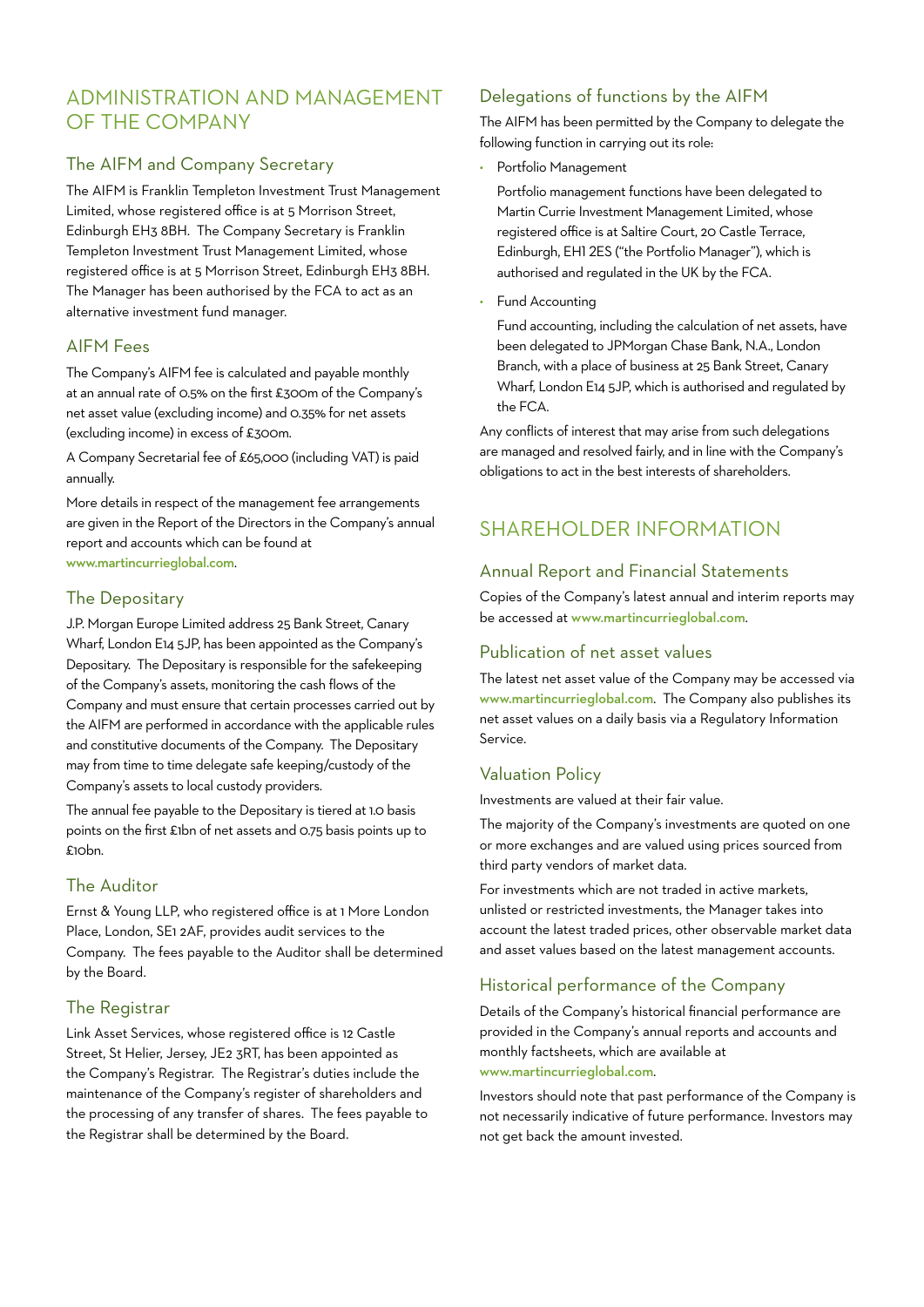# ADMINISTRATION AND MANAGEMENT OF THE COMPANY

# The AIFM and Company Secretary

The AIFM is Franklin Templeton Investment Trust Management Limited, whose registered office is at 5 Morrison Street, Edinburgh EH3 8BH. The Company Secretary is Franklin Templeton Investment Trust Management Limited, whose registered office is at 5 Morrison Street, Edinburgh EH3 8BH. The Manager has been authorised by the FCA to act as an alternative investment fund manager.

# AIFM Fees

The Company's AIFM fee is calculated and payable monthly at an annual rate of 0.5% on the first £300m of the Company's net asset value (excluding income) and 0.35% for net assets (excluding income) in excess of £300m.

A Company Secretarial fee of £65,000 (including VAT) is paid annually.

More details in respect of the management fee arrangements are given in the Report of the Directors in the Company's annual report and accounts which can be found at www.martincurrieglobal.com.

# The Depositary

J.P. Morgan Europe Limited address 25 Bank Street, Canary Wharf, London E14 5JP, has been appointed as the Company's Depositary. The Depositary is responsible for the safekeeping of the Company's assets, monitoring the cash flows of the Company and must ensure that certain processes carried out by the AIFM are performed in accordance with the applicable rules and constitutive documents of the Company. The Depositary may from time to time delegate safe keeping/custody of the Company's assets to local custody providers.

The annual fee payable to the Depositary is tiered at 1.0 basis points on the first £1bn of net assets and 0.75 basis points up to £10bn.

# The Auditor

Ernst & Young LLP, who registered office is at 1 More London Place, London, SE1 2AF, provides audit services to the Company. The fees payable to the Auditor shall be determined by the Board.

# The Registrar

Link Asset Services, whose registered office is 12 Castle Street, St Helier, Jersey, JE2 3RT, has been appointed as the Company's Registrar. The Registrar's duties include the maintenance of the Company's register of shareholders and the processing of any transfer of shares. The fees payable to the Registrar shall be determined by the Board.

# Delegations of functions by the AIFM

The AIFM has been permitted by the Company to delegate the following function in carrying out its role:

Portfolio Management

 Portfolio management functions have been delegated to Martin Currie Investment Management Limited, whose registered office is at Saltire Court, 20 Castle Terrace, Edinburgh, EH1 2ES ("the Portfolio Manager"), which is authorised and regulated in the UK by the FCA.

Fund Accounting

 Fund accounting, including the calculation of net assets, have been delegated to JPMorgan Chase Bank, N.A., London Branch, with a place of business at 25 Bank Street, Canary Wharf, London E14 5JP, which is authorised and regulated by the FCA.

Any conflicts of interest that may arise from such delegations are managed and resolved fairly, and in line with the Company's obligations to act in the best interests of shareholders.

# SHAREHOLDER INFORMATION

# Annual Report and Financial Statements

Copies of the Company's latest annual and interim reports may be accessed at www.martincurrieglobal.com.

### Publication of net asset values

The latest net asset value of the Company may be accessed via www.martincurrieglobal.com. The Company also publishes its net asset values on a daily basis via a Regulatory Information Service.

# Valuation Policy

Investments are valued at their fair value.

The majority of the Company's investments are quoted on one or more exchanges and are valued using prices sourced from third party vendors of market data.

For investments which are not traded in active markets, unlisted or restricted investments, the Manager takes into account the latest traded prices, other observable market data and asset values based on the latest management accounts.

# Historical performance of the Company

Details of the Company's historical financial performance are provided in the Company's annual reports and accounts and monthly factsheets, which are available at www.martincurrieglobal.com.

Investors should note that past performance of the Company is not necessarily indicative of future performance. Investors may not get back the amount invested.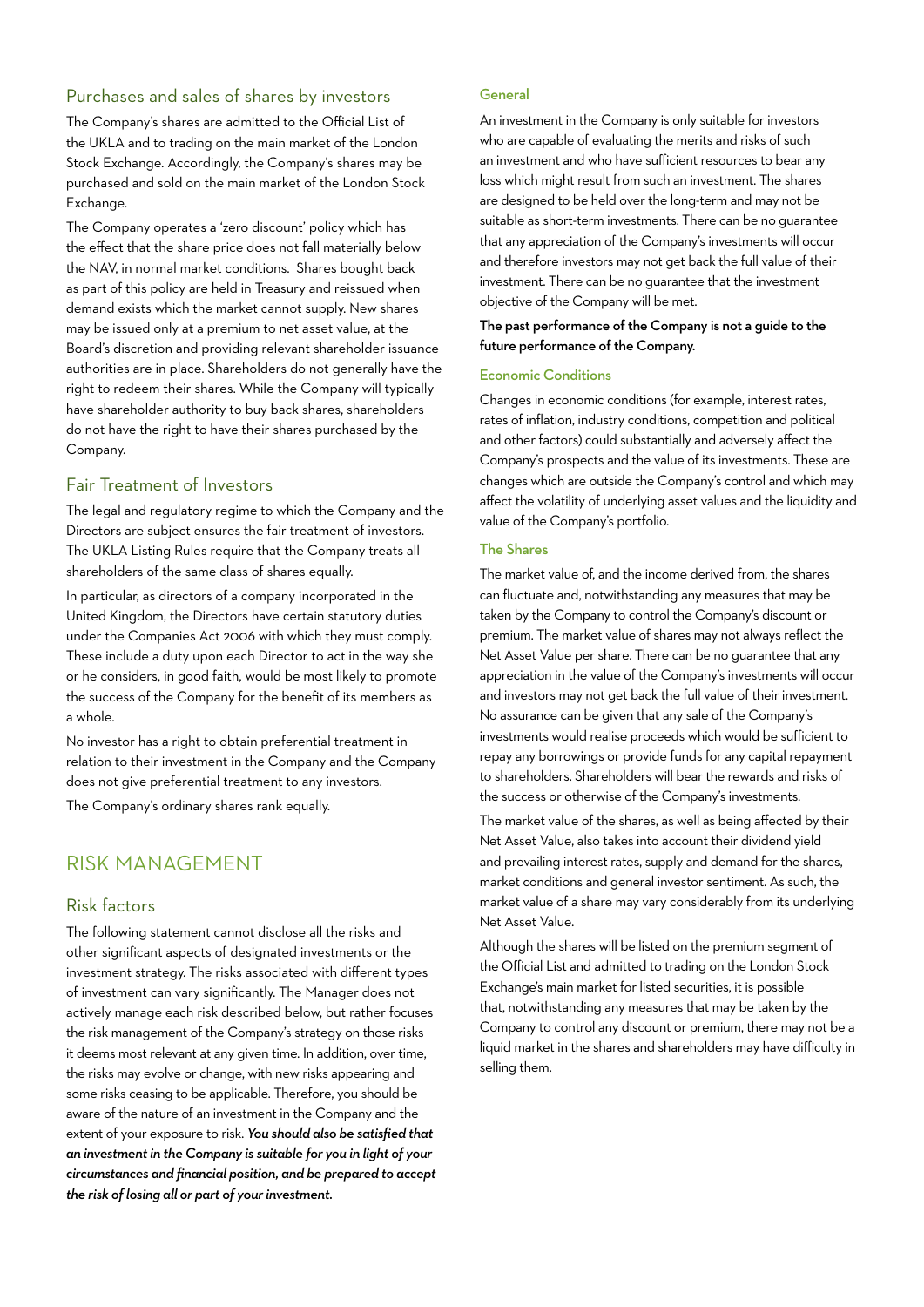### Purchases and sales of shares by investors

The Company's shares are admitted to the Official List of the UKLA and to trading on the main market of the London Stock Exchange. Accordingly, the Company's shares may be purchased and sold on the main market of the London Stock Exchange.

The Company operates a 'zero discount' policy which has the effect that the share price does not fall materially below the NAV, in normal market conditions. Shares bought back as part of this policy are held in Treasury and reissued when demand exists which the market cannot supply. New shares may be issued only at a premium to net asset value, at the Board's discretion and providing relevant shareholder issuance authorities are in place. Shareholders do not generally have the right to redeem their shares. While the Company will typically have shareholder authority to buy back shares, shareholders do not have the right to have their shares purchased by the Company.

### Fair Treatment of Investors

The legal and regulatory regime to which the Company and the Directors are subject ensures the fair treatment of investors. The UKLA Listing Rules require that the Company treats all shareholders of the same class of shares equally.

In particular, as directors of a company incorporated in the United Kingdom, the Directors have certain statutory duties under the Companies Act 2006 with which they must comply. These include a duty upon each Director to act in the way she or he considers, in good faith, would be most likely to promote the success of the Company for the benefit of its members as a whole.

No investor has a right to obtain preferential treatment in relation to their investment in the Company and the Company does not give preferential treatment to any investors.

The Company's ordinary shares rank equally.

# RISK MANAGEMENT

### Risk factors

The following statement cannot disclose all the risks and other significant aspects of designated investments or the investment strategy. The risks associated with different types of investment can vary significantly. The Manager does not actively manage each risk described below, but rather focuses the risk management of the Company's strategy on those risks it deems most relevant at any given time. In addition, over time, the risks may evolve or change, with new risks appearing and some risks ceasing to be applicable. Therefore, you should be aware of the nature of an investment in the Company and the extent of your exposure to risk. *You should also be satisfied that an investment in the Company is suitable for you in light of your circumstances and financial position, and be prepared to accept the risk of losing all or part of your investment.*

### **General**

An investment in the Company is only suitable for investors who are capable of evaluating the merits and risks of such an investment and who have sufficient resources to bear any loss which might result from such an investment. The shares are designed to be held over the long-term and may not be suitable as short-term investments. There can be no guarantee that any appreciation of the Company's investments will occur and therefore investors may not get back the full value of their investment. There can be no guarantee that the investment objective of the Company will be met.

The past performance of the Company is not a guide to the future performance of the Company.

### Economic Conditions

Changes in economic conditions (for example, interest rates, rates of inflation, industry conditions, competition and political and other factors) could substantially and adversely affect the Company's prospects and the value of its investments. These are changes which are outside the Company's control and which may affect the volatility of underlying asset values and the liquidity and value of the Company's portfolio.

### The Shares

The market value of, and the income derived from, the shares can fluctuate and, notwithstanding any measures that may be taken by the Company to control the Company's discount or premium. The market value of shares may not always reflect the Net Asset Value per share. There can be no guarantee that any appreciation in the value of the Company's investments will occur and investors may not get back the full value of their investment. No assurance can be given that any sale of the Company's investments would realise proceeds which would be sufficient to repay any borrowings or provide funds for any capital repayment to shareholders. Shareholders will bear the rewards and risks of the success or otherwise of the Company's investments.

The market value of the shares, as well as being affected by their Net Asset Value, also takes into account their dividend yield and prevailing interest rates, supply and demand for the shares, market conditions and general investor sentiment. As such, the market value of a share may vary considerably from its underlying Net Asset Value.

Although the shares will be listed on the premium segment of the Official List and admitted to trading on the London Stock Exchange's main market for listed securities, it is possible that, notwithstanding any measures that may be taken by the Company to control any discount or premium, there may not be a liquid market in the shares and shareholders may have difficulty in selling them.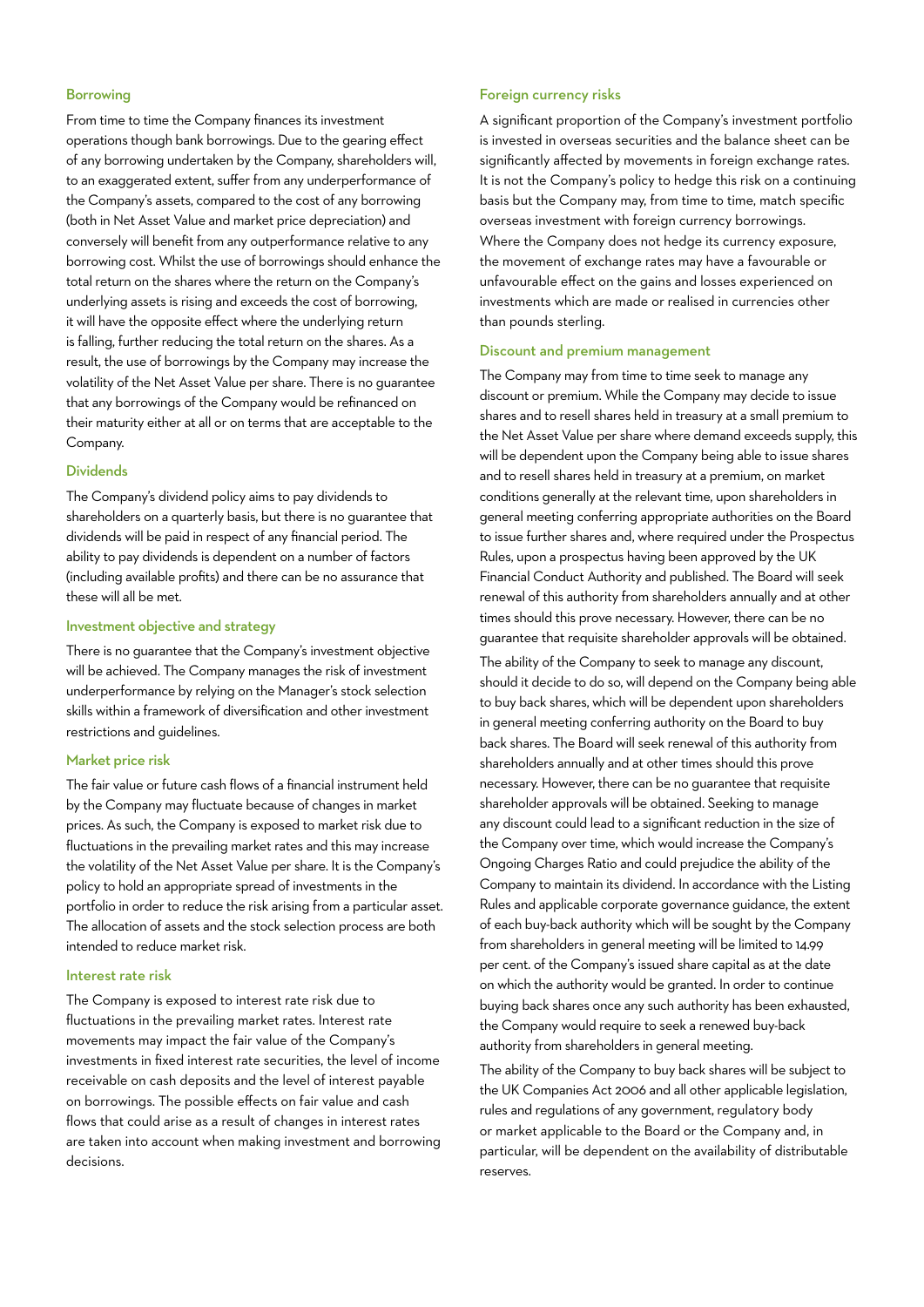#### Borrowing

From time to time the Company finances its investment operations though bank borrowings. Due to the gearing effect of any borrowing undertaken by the Company, shareholders will, to an exaggerated extent, suffer from any underperformance of the Company's assets, compared to the cost of any borrowing (both in Net Asset Value and market price depreciation) and conversely will benefit from any outperformance relative to any borrowing cost. Whilst the use of borrowings should enhance the total return on the shares where the return on the Company's underlying assets is rising and exceeds the cost of borrowing, it will have the opposite effect where the underlying return is falling, further reducing the total return on the shares. As a result, the use of borrowings by the Company may increase the volatility of the Net Asset Value per share. There is no guarantee that any borrowings of the Company would be refinanced on their maturity either at all or on terms that are acceptable to the Company.

### Dividends

The Company's dividend policy aims to pay dividends to shareholders on a quarterly basis, but there is no guarantee that dividends will be paid in respect of any financial period. The ability to pay dividends is dependent on a number of factors (including available profits) and there can be no assurance that these will all be met.

### Investment objective and strategy

There is no guarantee that the Company's investment objective will be achieved. The Company manages the risk of investment underperformance by relying on the Manager's stock selection skills within a framework of diversification and other investment restrictions and guidelines.

### Market price risk

The fair value or future cash flows of a financial instrument held by the Company may fluctuate because of changes in market prices. As such, the Company is exposed to market risk due to fluctuations in the prevailing market rates and this may increase the volatility of the Net Asset Value per share. It is the Company's policy to hold an appropriate spread of investments in the portfolio in order to reduce the risk arising from a particular asset. The allocation of assets and the stock selection process are both intended to reduce market risk.

### Interest rate risk

The Company is exposed to interest rate risk due to fluctuations in the prevailing market rates. Interest rate movements may impact the fair value of the Company's investments in fixed interest rate securities, the level of income receivable on cash deposits and the level of interest payable on borrowings. The possible effects on fair value and cash flows that could arise as a result of changes in interest rates are taken into account when making investment and borrowing decisions.

#### Foreign currency risks

A significant proportion of the Company's investment portfolio is invested in overseas securities and the balance sheet can be significantly affected by movements in foreign exchange rates. It is not the Company's policy to hedge this risk on a continuing basis but the Company may, from time to time, match specific overseas investment with foreign currency borrowings. Where the Company does not hedge its currency exposure, the movement of exchange rates may have a favourable or unfavourable effect on the gains and losses experienced on investments which are made or realised in currencies other than pounds sterling.

### Discount and premium management

The Company may from time to time seek to manage any discount or premium. While the Company may decide to issue shares and to resell shares held in treasury at a small premium to the Net Asset Value per share where demand exceeds supply, this will be dependent upon the Company being able to issue shares and to resell shares held in treasury at a premium, on market conditions generally at the relevant time, upon shareholders in general meeting conferring appropriate authorities on the Board to issue further shares and, where required under the Prospectus Rules, upon a prospectus having been approved by the UK Financial Conduct Authority and published. The Board will seek renewal of this authority from shareholders annually and at other times should this prove necessary. However, there can be no guarantee that requisite shareholder approvals will be obtained.

The ability of the Company to seek to manage any discount, should it decide to do so, will depend on the Company being able to buy back shares, which will be dependent upon shareholders in general meeting conferring authority on the Board to buy back shares. The Board will seek renewal of this authority from shareholders annually and at other times should this prove necessary. However, there can be no guarantee that requisite shareholder approvals will be obtained. Seeking to manage any discount could lead to a significant reduction in the size of the Company over time, which would increase the Company's Ongoing Charges Ratio and could prejudice the ability of the Company to maintain its dividend. In accordance with the Listing Rules and applicable corporate governance guidance, the extent of each buy-back authority which will be sought by the Company from shareholders in general meeting will be limited to 14.99 per cent. of the Company's issued share capital as at the date on which the authority would be granted. In order to continue buying back shares once any such authority has been exhausted, the Company would require to seek a renewed buy-back authority from shareholders in general meeting.

The ability of the Company to buy back shares will be subject to the UK Companies Act 2006 and all other applicable legislation, rules and regulations of any government, regulatory body or market applicable to the Board or the Company and, in particular, will be dependent on the availability of distributable reserves.